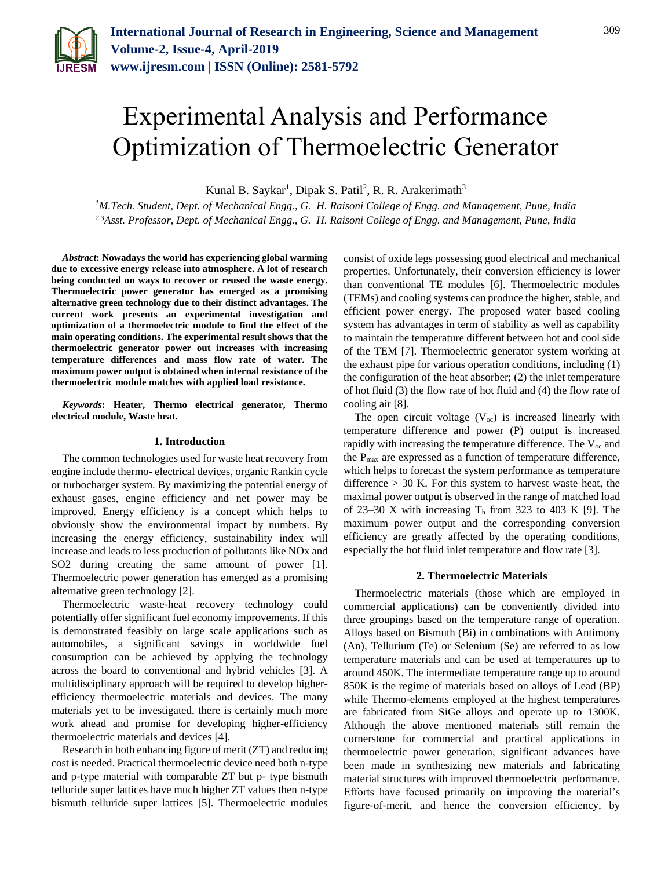

# Experimental Analysis and Performance Optimization of Thermoelectric Generator

Kunal B. Saykar<sup>1</sup>, Dipak S. Patil<sup>2</sup>, R. R. Arakerimath<sup>3</sup>

*<sup>1</sup>M.Tech. Student, Dept. of Mechanical Engg., G. H. Raisoni College of Engg. and Management, Pune, India 2,3Asst. Professor, Dept. of Mechanical Engg., G. H. Raisoni College of Engg. and Management, Pune, India*

*Abstract***: Nowadays the world has experiencing global warming due to excessive energy release into atmosphere. A lot of research being conducted on ways to recover or reused the waste energy. Thermoelectric power generator has emerged as a promising alternative green technology due to their distinct advantages. The current work presents an experimental investigation and optimization of a thermoelectric module to find the effect of the main operating conditions. The experimental result shows that the thermoelectric generator power out increases with increasing temperature differences and mass flow rate of water. The maximum power output is obtained when internal resistance of the thermoelectric module matches with applied load resistance.**

*Keywords***: Heater, Thermo electrical generator, Thermo electrical module, Waste heat.**

#### **1. Introduction**

The common technologies used for waste heat recovery from engine include thermo- electrical devices, organic Rankin cycle or turbocharger system. By maximizing the potential energy of exhaust gases, engine efficiency and net power may be improved. Energy efficiency is a concept which helps to obviously show the environmental impact by numbers. By increasing the energy efficiency, sustainability index will increase and leads to less production of pollutants like NOx and SO2 during creating the same amount of power [1]. Thermoelectric power generation has emerged as a promising alternative green technology [2].

Thermoelectric waste-heat recovery technology could potentially offer significant fuel economy improvements. If this is demonstrated feasibly on large scale applications such as automobiles, a significant savings in worldwide fuel consumption can be achieved by applying the technology across the board to conventional and hybrid vehicles [3]. A multidisciplinary approach will be required to develop higherefficiency thermoelectric materials and devices. The many materials yet to be investigated, there is certainly much more work ahead and promise for developing higher-efficiency thermoelectric materials and devices [4].

Research in both enhancing figure of merit (ZT) and reducing cost is needed. Practical thermoelectric device need both n-type and p-type material with comparable ZT but p- type bismuth telluride super lattices have much higher ZT values then n-type bismuth telluride super lattices [5]. Thermoelectric modules consist of oxide legs possessing good electrical and mechanical properties. Unfortunately, their conversion efficiency is lower than conventional TE modules [6]. Thermoelectric modules (TEMs) and cooling systems can produce the higher, stable, and efficient power energy. The proposed water based cooling system has advantages in term of stability as well as capability to maintain the temperature different between hot and cool side of the TEM [7]. Thermoelectric generator system working at the exhaust pipe for various operation conditions, including (1) the configuration of the heat absorber; (2) the inlet temperature of hot fluid (3) the flow rate of hot fluid and (4) the flow rate of cooling air [8].

The open circuit voltage  $(V_{\text{oc}})$  is increased linearly with temperature difference and power (P) output is increased rapidly with increasing the temperature difference. The  $V_{\text{oc}}$  and the Pmax are expressed as a function of temperature difference, which helps to forecast the system performance as temperature difference  $> 30$  K. For this system to harvest waste heat, the maximal power output is observed in the range of matched load of 23–30 X with increasing  $T<sub>h</sub>$  from 323 to 403 K [9]. The maximum power output and the corresponding conversion efficiency are greatly affected by the operating conditions, especially the hot fluid inlet temperature and flow rate [3].

#### **2. Thermoelectric Materials**

Thermoelectric materials (those which are employed in commercial applications) can be conveniently divided into three groupings based on the temperature range of operation. Alloys based on Bismuth (Bi) in combinations with Antimony (An), Tellurium (Te) or Selenium (Se) are referred to as low temperature materials and can be used at temperatures up to around 450K. The intermediate temperature range up to around 850K is the regime of materials based on alloys of Lead (BP) while Thermo-elements employed at the highest temperatures are fabricated from SiGe alloys and operate up to 1300K. Although the above mentioned materials still remain the cornerstone for commercial and practical applications in thermoelectric power generation, significant advances have been made in synthesizing new materials and fabricating material structures with improved thermoelectric performance. Efforts have focused primarily on improving the material's figure-of-merit, and hence the conversion efficiency, by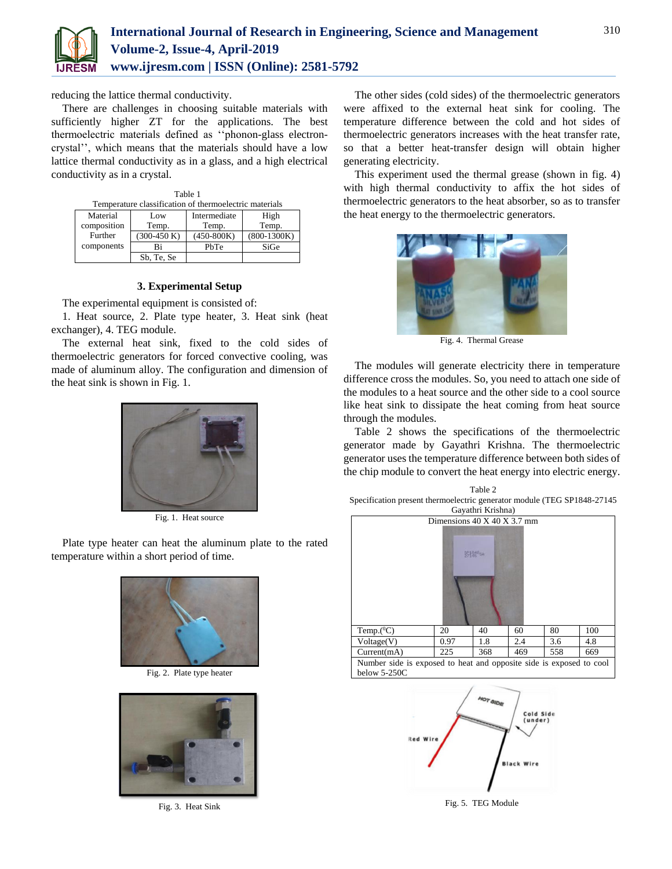

reducing the lattice thermal conductivity.

There are challenges in choosing suitable materials with sufficiently higher ZT for the applications. The best thermoelectric materials defined as ''phonon-glass electroncrystal'', which means that the materials should have a low lattice thermal conductivity as in a glass, and a high electrical conductivity as in a crystal.

| Table 1                                                |               |              |               |
|--------------------------------------------------------|---------------|--------------|---------------|
| Temperature classification of thermoelectric materials |               |              |               |
| Material                                               | Low           | Intermediate | High          |
| composition                                            | Temp.         | Temp.        | Temp.         |
| Further                                                | $(300-450 K)$ | $(450-800K)$ | $(800-1300K)$ |
| components                                             | Ri            | PhTe         | SiGe          |
|                                                        | Sb, Te, Se    |              |               |

## **3. Experimental Setup**

The experimental equipment is consisted of:

1. Heat source, 2. Plate type heater, 3. Heat sink (heat exchanger), 4. TEG module.

The external heat sink, fixed to the cold sides of thermoelectric generators for forced convective cooling, was made of aluminum alloy. The configuration and dimension of the heat sink is shown in Fig. 1.



Fig. 1. Heat source

Plate type heater can heat the aluminum plate to the rated temperature within a short period of time.



Fig. 2. Plate type heater



Fig. 3. Heat Sink

The other sides (cold sides) of the thermoelectric generators were affixed to the external heat sink for cooling. The temperature difference between the cold and hot sides of thermoelectric generators increases with the heat transfer rate, so that a better heat-transfer design will obtain higher generating electricity.

This experiment used the thermal grease (shown in fig. 4) with high thermal conductivity to affix the hot sides of thermoelectric generators to the heat absorber, so as to transfer the heat energy to the thermoelectric generators.



Fig. 4. Thermal Grease

The modules will generate electricity there in temperature difference cross the modules. So, you need to attach one side of the modules to a heat source and the other side to a cool source like heat sink to dissipate the heat coming from heat source through the modules.

Table 2 shows the specifications of the thermoelectric generator made by Gayathri Krishna. The thermoelectric generator uses the temperature difference between both sides of the chip module to convert the heat energy into electric energy.







Fig. 5. TEG Module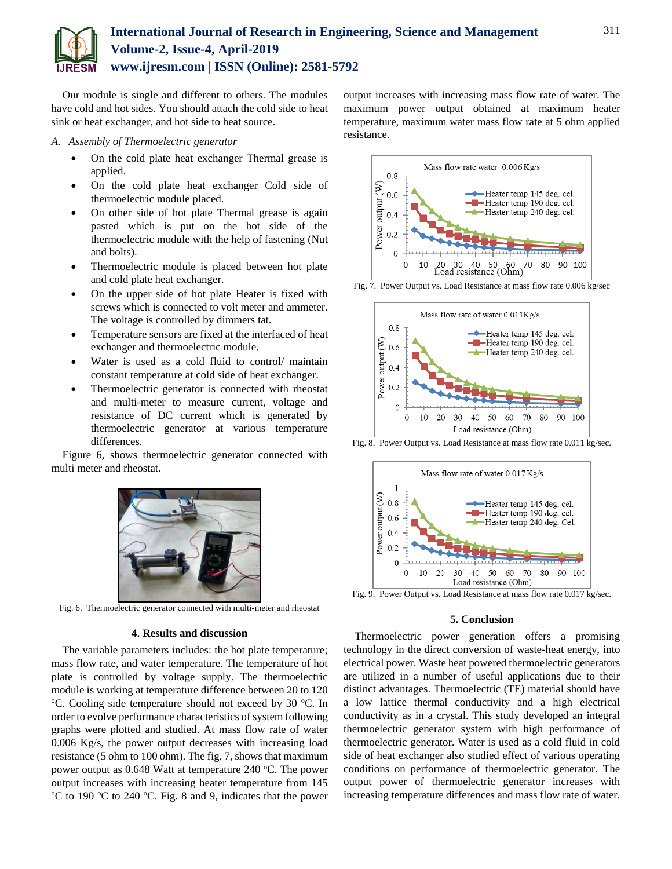

Our module is single and different to others. The modules have cold and hot sides. You should attach the cold side to heat sink or heat exchanger, and hot side to heat source.

#### *A. Assembly of Thermoelectric generator*

- On the cold plate heat exchanger Thermal grease is applied.
- On the cold plate heat exchanger Cold side of thermoelectric module placed.
- On other side of hot plate Thermal grease is again pasted which is put on the hot side of the thermoelectric module with the help of fastening (Nut and bolts).
- Thermoelectric module is placed between hot plate and cold plate heat exchanger.
- On the upper side of hot plate Heater is fixed with screws which is connected to volt meter and ammeter. The voltage is controlled by dimmers tat.
- Temperature sensors are fixed at the interfaced of heat exchanger and thermoelectric module.
- Water is used as a cold fluid to control/ maintain constant temperature at cold side of heat exchanger.
- Thermoelectric generator is connected with rheostat and multi-meter to measure current, voltage and resistance of DC current which is generated by thermoelectric generator at various temperature differences.

Figure 6, shows thermoelectric generator connected with multi meter and rheostat.



Fig. 6. Thermoelectric generator connected with multi-meter and rheostat

### **4. Results and discussion**

The variable parameters includes: the hot plate temperature; mass flow rate, and water temperature. The temperature of hot plate is controlled by voltage supply. The thermoelectric module is working at temperature difference between 20 to 120  $\rm{^{\circ}C}$ . Cooling side temperature should not exceed by 30  $\rm{^{\circ}C}$ . In order to evolve performance characteristics of system following graphs were plotted and studied. At mass flow rate of water 0.006 Kg/s, the power output decreases with increasing load resistance (5 ohm to 100 ohm). The fig. 7, shows that maximum power output as  $0.648$  Watt at temperature 240 °C. The power output increases with increasing heater temperature from 145  $\rm{^{\circ}C}$  to 190  $\rm{^{\circ}C}$  to 240  $\rm{^{\circ}C}$ . Fig. 8 and 9, indicates that the power output increases with increasing mass flow rate of water. The maximum power output obtained at maximum heater temperature, maximum water mass flow rate at 5 ohm applied resistance.



Fig. 7. Power Output vs. Load Resistance at mass flow rate 0.006 kg/sec



Fig. 8. Power Output vs. Load Resistance at mass flow rate 0.011 kg/sec.





#### **5. Conclusion**

Thermoelectric power generation offers a promising technology in the direct conversion of waste-heat energy, into electrical power. Waste heat powered thermoelectric generators are utilized in a number of useful applications due to their distinct advantages. Thermoelectric (TE) material should have a low lattice thermal conductivity and a high electrical conductivity as in a crystal. This study developed an integral thermoelectric generator system with high performance of thermoelectric generator. Water is used as a cold fluid in cold side of heat exchanger also studied effect of various operating conditions on performance of thermoelectric generator. The output power of thermoelectric generator increases with increasing temperature differences and mass flow rate of water.